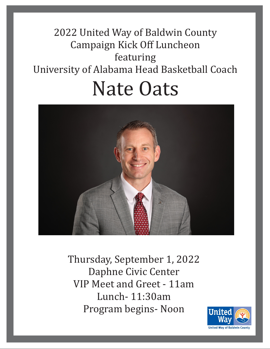# 2022 United Way of Baldwin County Campaign Kick Off Luncheon featuring University of Alabama Head Basketball Coach Nate Oats



Thursday, September 1, 2022 Daphne Civic Center VIP Meet and Greet - 11am Lunch- 11:30am Program begins- Noon

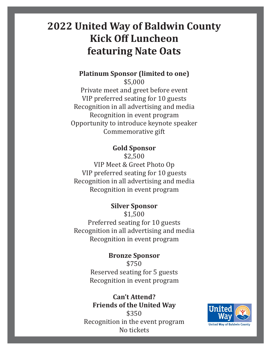## **2022 United Way of Baldwin County Kick Off Luncheon featuring Nate Oats**

**Platinum Sponsor (limited to one)** \$5,000

Private meet and greet before event VIP preferred seating for 10 guests Recognition in all advertising and media Recognition in event program Opportunity to introduce keynote speaker Commemorative gift

### **Gold Sponsor**

\$2,500

VIP Meet & Greet Photo Op VIP preferred seating for 10 guests Recognition in all advertising and media Recognition in event program

#### **Silver Sponsor**

\$1,500 Preferred seating for 10 guests Recognition in all advertising and media Recognition in event program

### **Bronze Sponsor**

\$750 Reserved seating for 5 guests Recognition in event program

#### **Can't Attend? Friends of the United Way**

\$350 Recognition in the event program No tickets